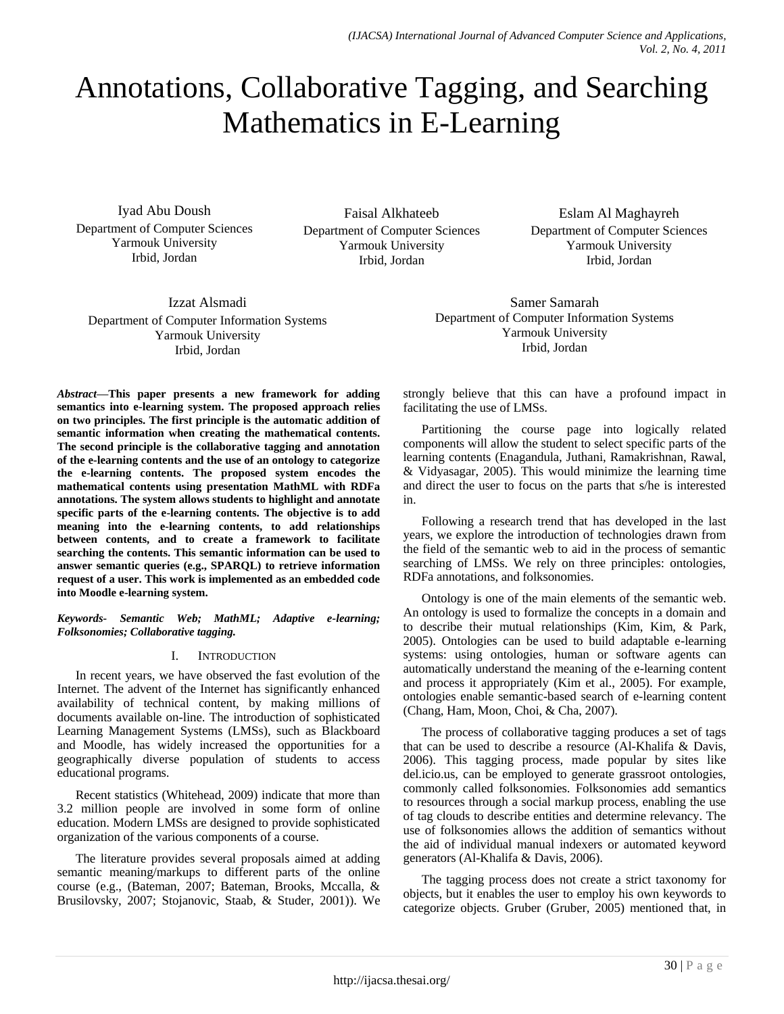# Annotations, Collaborative Tagging, and Searching Mathematics in E-Learning

Iyad Abu Doush Department of Computer Sciences Yarmouk University Irbid, Jordan

Faisal Alkhateeb Department of Computer Sciences Yarmouk University Irbid, Jordan

Eslam Al Maghayreh Department of Computer Sciences Yarmouk University Irbid, Jordan

Izzat Alsmadi Department of Computer Information Systems Yarmouk University Irbid, Jordan

Samer Samarah Department of Computer Information Systems Yarmouk University Irbid, Jordan

*Abstract***—This paper presents a new framework for adding semantics into e-learning system. The proposed approach relies on two principles. The first principle is the automatic addition of semantic information when creating the mathematical contents. The second principle is the collaborative tagging and annotation of the e-learning contents and the use of an ontology to categorize the e-learning contents. The proposed system encodes the mathematical contents using presentation MathML with RDFa annotations. The system allows students to highlight and annotate specific parts of the e-learning contents. The objective is to add meaning into the e-learning contents, to add relationships between contents, and to create a framework to facilitate searching the contents. This semantic information can be used to answer semantic queries (e.g., SPARQL) to retrieve information request of a user. This work is implemented as an embedded code into Moodle e-learning system.**

*Keywords- Semantic Web; MathML; Adaptive e-learning; Folksonomies; Collaborative tagging.*

# I. INTRODUCTION

In recent years, we have observed the fast evolution of the Internet. The advent of the Internet has significantly enhanced availability of technical content, by making millions of documents available on-line. The introduction of sophisticated Learning Management Systems (LMSs), such as Blackboard and Moodle, has widely increased the opportunities for a geographically diverse population of students to access educational programs.

Recent statistics (Whitehead, 2009) indicate that more than 3.2 million people are involved in some form of online education. Modern LMSs are designed to provide sophisticated organization of the various components of a course.

The literature provides several proposals aimed at adding semantic meaning/markups to different parts of the online course (e.g., (Bateman, 2007; Bateman, Brooks, Mccalla, & Brusilovsky, 2007; Stojanovic, Staab, & Studer, 2001)). We strongly believe that this can have a profound impact in facilitating the use of LMSs.

Partitioning the course page into logically related components will allow the student to select specific parts of the learning contents (Enagandula, Juthani, Ramakrishnan, Rawal, & Vidyasagar, 2005). This would minimize the learning time and direct the user to focus on the parts that s/he is interested in.

Following a research trend that has developed in the last years, we explore the introduction of technologies drawn from the field of the semantic web to aid in the process of semantic searching of LMSs. We rely on three principles: ontologies, RDFa annotations, and folksonomies.

Ontology is one of the main elements of the semantic web. An ontology is used to formalize the concepts in a domain and to describe their mutual relationships (Kim, Kim, & Park, 2005). Ontologies can be used to build adaptable e-learning systems: using ontologies, human or software agents can automatically understand the meaning of the e-learning content and process it appropriately (Kim et al., 2005). For example, ontologies enable semantic-based search of e-learning content (Chang, Ham, Moon, Choi, & Cha, 2007).

The process of collaborative tagging produces a set of tags that can be used to describe a resource (Al-Khalifa & Davis, 2006). This tagging process, made popular by sites like del.icio.us, can be employed to generate grassroot ontologies, commonly called folksonomies. Folksonomies add semantics to resources through a social markup process, enabling the use of tag clouds to describe entities and determine relevancy. The use of folksonomies allows the addition of semantics without the aid of individual manual indexers or automated keyword generators (Al-Khalifa & Davis, 2006).

The tagging process does not create a strict taxonomy for objects, but it enables the user to employ his own keywords to categorize objects. Gruber (Gruber, 2005) mentioned that, in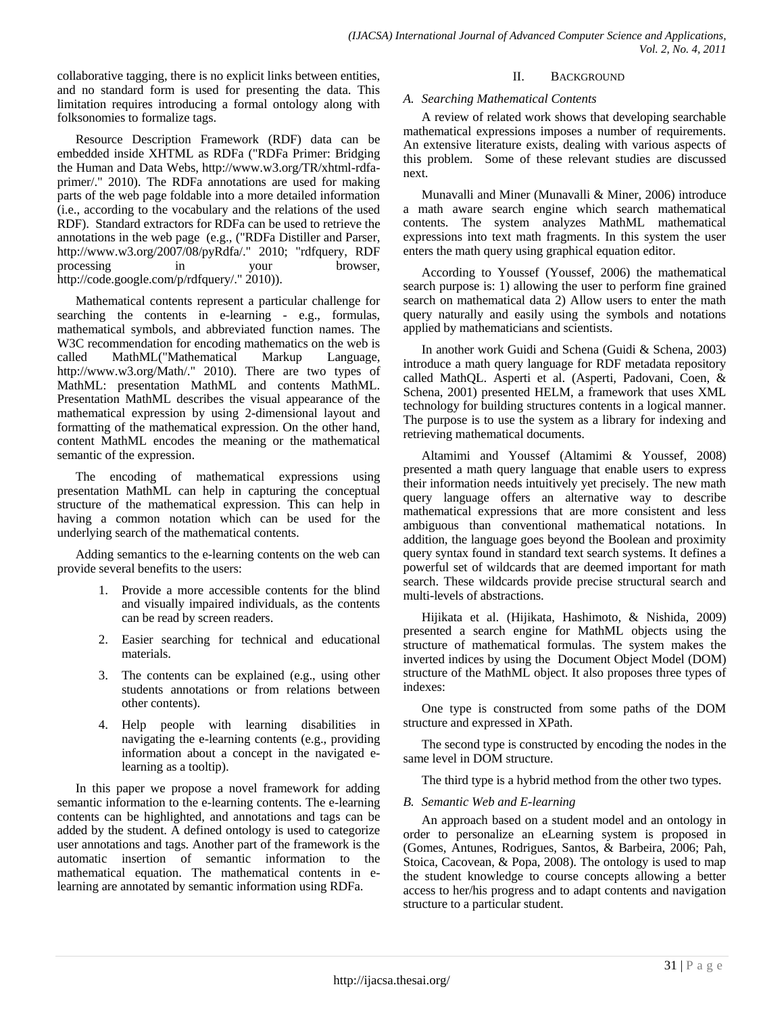collaborative tagging, there is no explicit links between entities, and no standard form is used for presenting the data. This limitation requires introducing a formal ontology along with folksonomies to formalize tags.

Resource Description Framework (RDF) data can be embedded inside XHTML as RDFa ("RDFa Primer: Bridging the Human and Data Webs, http://www.w3.org/TR/xhtml-rdfaprimer/." 2010). The RDFa annotations are used for making parts of the web page foldable into a more detailed information (i.e., according to the vocabulary and the relations of the used RDF). Standard extractors for RDFa can be used to retrieve the annotations in the web page (e.g., ("RDFa Distiller and Parser, http://www.w3.org/2007/08/pyRdfa/." 2010; "rdfquery, RDF processing in your browser, http://code.google.com/p/rdfquery/." 2010)).

Mathematical contents represent a particular challenge for searching the contents in e-learning - e.g., formulas, mathematical symbols, and abbreviated function names. The W3C recommendation for encoding mathematics on the web is called MathML("Mathematical Markup Language, http://www.w3.org/Math/." 2010). There are two types of MathML: presentation MathML and contents MathML. Presentation MathML describes the visual appearance of the mathematical expression by using 2-dimensional layout and formatting of the mathematical expression. On the other hand, content MathML encodes the meaning or the mathematical semantic of the expression.

The encoding of mathematical expressions using presentation MathML can help in capturing the conceptual structure of the mathematical expression. This can help in having a common notation which can be used for the underlying search of the mathematical contents.

Adding semantics to the e-learning contents on the web can provide several benefits to the users:

- 1. Provide a more accessible contents for the blind and visually impaired individuals, as the contents can be read by screen readers.
- 2. Easier searching for technical and educational materials.
- 3. The contents can be explained (e.g., using other students annotations or from relations between other contents).
- 4. Help people with learning disabilities in navigating the e-learning contents (e.g., providing information about a concept in the navigated elearning as a tooltip).

In this paper we propose a novel framework for adding semantic information to the e-learning contents. The e-learning contents can be highlighted, and annotations and tags can be added by the student. A defined ontology is used to categorize user annotations and tags. Another part of the framework is the automatic insertion of semantic information to the mathematical equation. The mathematical contents in elearning are annotated by semantic information using RDFa.

#### II. BACKGROUND

#### *A. Searching Mathematical Contents*

A review of related work shows that developing searchable mathematical expressions imposes a number of requirements. An extensive literature exists, dealing with various aspects of this problem. Some of these relevant studies are discussed next.

Munavalli and Miner (Munavalli & Miner, 2006) introduce a math aware search engine which search mathematical contents. The system analyzes MathML mathematical expressions into text math fragments. In this system the user enters the math query using graphical equation editor.

According to Youssef (Youssef, 2006) the mathematical search purpose is: 1) allowing the user to perform fine grained search on mathematical data 2) Allow users to enter the math query naturally and easily using the symbols and notations applied by mathematicians and scientists.

In another work Guidi and Schena (Guidi & Schena, 2003) introduce a math query language for RDF metadata repository called MathQL. Asperti et al. (Asperti, Padovani, Coen, & Schena, 2001) presented HELM, a framework that uses XML technology for building structures contents in a logical manner. The purpose is to use the system as a library for indexing and retrieving mathematical documents.

Altamimi and Youssef (Altamimi & Youssef, 2008) presented a math query language that enable users to express their information needs intuitively yet precisely. The new math query language offers an alternative way to describe mathematical expressions that are more consistent and less ambiguous than conventional mathematical notations. In addition, the language goes beyond the Boolean and proximity query syntax found in standard text search systems. It defines a powerful set of wildcards that are deemed important for math search. These wildcards provide precise structural search and multi-levels of abstractions.

Hijikata et al. (Hijikata, Hashimoto, & Nishida, 2009) presented a search engine for MathML objects using the structure of mathematical formulas. The system makes the inverted indices by using the Document Object Model (DOM) structure of the MathML object. It also proposes three types of indexes:

One type is constructed from some paths of the DOM structure and expressed in XPath.

The second type is constructed by encoding the nodes in the same level in DOM structure.

The third type is a hybrid method from the other two types.

#### *B. Semantic Web and E-learning*

An approach based on a student model and an ontology in order to personalize an eLearning system is proposed in (Gomes, Antunes, Rodrigues, Santos, & Barbeira, 2006; Pah, Stoica, Cacovean, & Popa, 2008). The ontology is used to map the student knowledge to course concepts allowing a better access to her/his progress and to adapt contents and navigation structure to a particular student.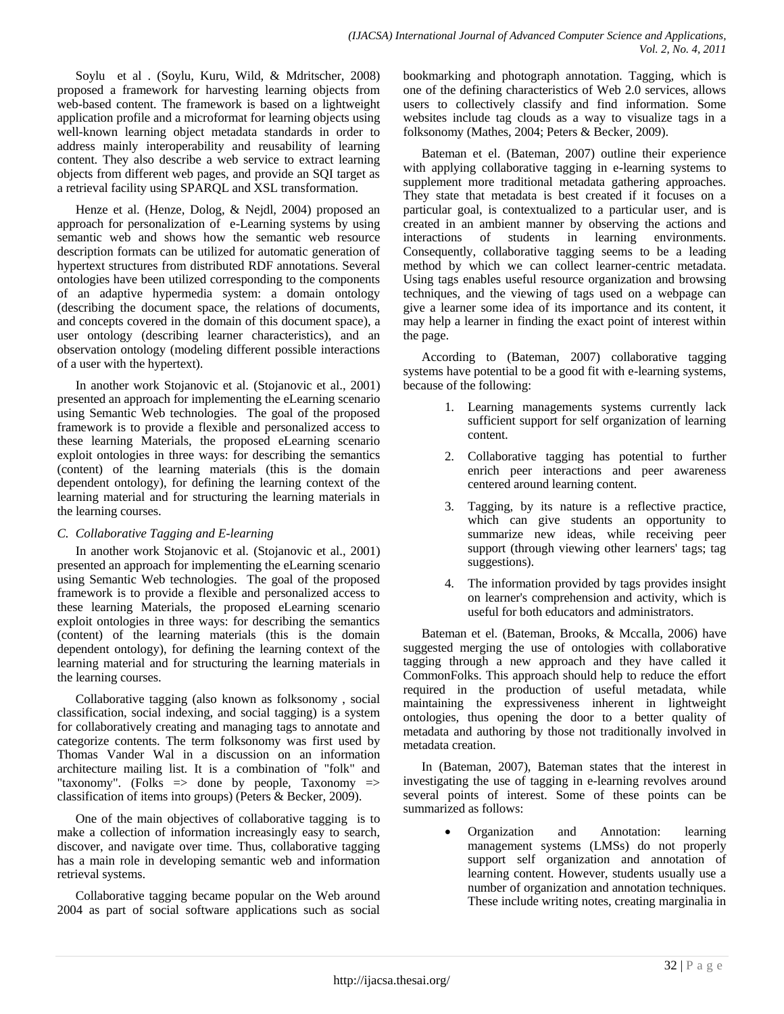Soylu et al . (Soylu, Kuru, Wild, & Mdritscher, 2008) proposed a framework for harvesting learning objects from web-based content. The framework is based on a lightweight application profile and a microformat for learning objects using well-known learning object metadata standards in order to address mainly interoperability and reusability of learning content. They also describe a web service to extract learning objects from different web pages, and provide an SQI target as a retrieval facility using SPARQL and XSL transformation.

Henze et al. (Henze, Dolog, & Nejdl, 2004) proposed an approach for personalization of e-Learning systems by using semantic web and shows how the semantic web resource description formats can be utilized for automatic generation of hypertext structures from distributed RDF annotations. Several ontologies have been utilized corresponding to the components of an adaptive hypermedia system: a domain ontology (describing the document space, the relations of documents, and concepts covered in the domain of this document space), a user ontology (describing learner characteristics), and an observation ontology (modeling different possible interactions of a user with the hypertext).

In another work Stojanovic et al. (Stojanovic et al., 2001) presented an approach for implementing the eLearning scenario using Semantic Web technologies. The goal of the proposed framework is to provide a flexible and personalized access to these learning Materials, the proposed eLearning scenario exploit ontologies in three ways: for describing the semantics (content) of the learning materials (this is the domain dependent ontology), for defining the learning context of the learning material and for structuring the learning materials in the learning courses.

#### *C. Collaborative Tagging and E-learning*

In another work Stojanovic et al. (Stojanovic et al., 2001) presented an approach for implementing the eLearning scenario using Semantic Web technologies. The goal of the proposed framework is to provide a flexible and personalized access to these learning Materials, the proposed eLearning scenario exploit ontologies in three ways: for describing the semantics (content) of the learning materials (this is the domain dependent ontology), for defining the learning context of the learning material and for structuring the learning materials in the learning courses.

Collaborative tagging (also known as folksonomy , social classification, social indexing, and social tagging) is a system for collaboratively creating and managing tags to annotate and categorize contents. The term folksonomy was first used by Thomas Vander Wal in a discussion on an information architecture mailing list. It is a combination of "folk" and "taxonomy". (Folks  $\Rightarrow$  done by people, Taxonomy  $\Rightarrow$ classification of items into groups) (Peters & Becker, 2009).

One of the main objectives of collaborative tagging is to make a collection of information increasingly easy to search, discover, and navigate over time. Thus, collaborative tagging has a main role in developing semantic web and information retrieval systems.

Collaborative tagging became popular on the Web around 2004 as part of social software applications such as social

bookmarking and photograph annotation. Tagging, which is one of the defining characteristics of Web 2.0 services, allows users to collectively classify and find information. Some websites include tag clouds as a way to visualize tags in a folksonomy (Mathes, 2004; Peters & Becker, 2009).

Bateman et el. (Bateman, 2007) outline their experience with applying collaborative tagging in e-learning systems to supplement more traditional metadata gathering approaches. They state that metadata is best created if it focuses on a particular goal, is contextualized to a particular user, and is created in an ambient manner by observing the actions and interactions of students in learning environments. Consequently, collaborative tagging seems to be a leading method by which we can collect learner-centric metadata. Using tags enables useful resource organization and browsing techniques, and the viewing of tags used on a webpage can give a learner some idea of its importance and its content, it may help a learner in finding the exact point of interest within the page.

According to (Bateman, 2007) collaborative tagging systems have potential to be a good fit with e-learning systems, because of the following:

- 1. Learning managements systems currently lack sufficient support for self organization of learning content.
- 2. Collaborative tagging has potential to further enrich peer interactions and peer awareness centered around learning content.
- 3. Tagging, by its nature is a reflective practice, which can give students an opportunity to summarize new ideas, while receiving peer support (through viewing other learners' tags; tag suggestions).
- 4. The information provided by tags provides insight on learner's comprehension and activity, which is useful for both educators and administrators.

Bateman et el. (Bateman, Brooks, & Mccalla, 2006) have suggested merging the use of ontologies with collaborative tagging through a new approach and they have called it CommonFolks. This approach should help to reduce the effort required in the production of useful metadata, while maintaining the expressiveness inherent in lightweight ontologies, thus opening the door to a better quality of metadata and authoring by those not traditionally involved in metadata creation.

In (Bateman, 2007), Bateman states that the interest in investigating the use of tagging in e-learning revolves around several points of interest. Some of these points can be summarized as follows:

> Organization and Annotation: learning management systems (LMSs) do not properly support self organization and annotation of learning content. However, students usually use a number of organization and annotation techniques. These include writing notes, creating marginalia in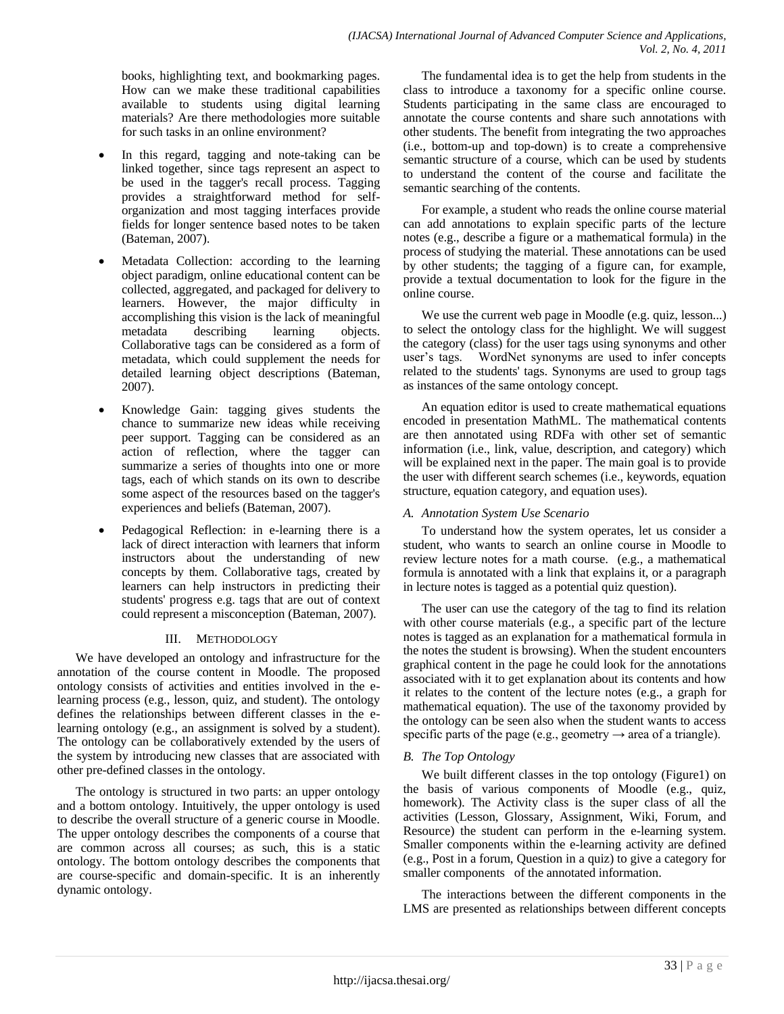books, highlighting text, and bookmarking pages. How can we make these traditional capabilities available to students using digital learning materials? Are there methodologies more suitable for such tasks in an online environment?

- In this regard, tagging and note-taking can be linked together, since tags represent an aspect to be used in the tagger's recall process. Tagging provides a straightforward method for selforganization and most tagging interfaces provide fields for longer sentence based notes to be taken (Bateman, 2007).
- Metadata Collection: according to the learning object paradigm, online educational content can be collected, aggregated, and packaged for delivery to learners. However, the major difficulty in accomplishing this vision is the lack of meaningful metadata describing learning objects. Collaborative tags can be considered as a form of metadata, which could supplement the needs for detailed learning object descriptions (Bateman, 2007).
- Knowledge Gain: tagging gives students the chance to summarize new ideas while receiving peer support. Tagging can be considered as an action of reflection, where the tagger can summarize a series of thoughts into one or more tags, each of which stands on its own to describe some aspect of the resources based on the tagger's experiences and beliefs (Bateman, 2007).
- Pedagogical Reflection: in e-learning there is a lack of direct interaction with learners that inform instructors about the understanding of new concepts by them. Collaborative tags, created by learners can help instructors in predicting their students' progress e.g. tags that are out of context could represent a misconception (Bateman, 2007).

# III. METHODOLOGY

We have developed an ontology and infrastructure for the annotation of the course content in Moodle. The proposed ontology consists of activities and entities involved in the elearning process (e.g., lesson, quiz, and student). The ontology defines the relationships between different classes in the elearning ontology (e.g., an assignment is solved by a student). The ontology can be collaboratively extended by the users of the system by introducing new classes that are associated with other pre-defined classes in the ontology.

The ontology is structured in two parts: an upper ontology and a bottom ontology. Intuitively, the upper ontology is used to describe the overall structure of a generic course in Moodle. The upper ontology describes the components of a course that are common across all courses; as such, this is a static ontology. The bottom ontology describes the components that are course-specific and domain-specific. It is an inherently dynamic ontology.

The fundamental idea is to get the help from students in the class to introduce a taxonomy for a specific online course. Students participating in the same class are encouraged to annotate the course contents and share such annotations with other students. The benefit from integrating the two approaches (i.e., bottom-up and top-down) is to create a comprehensive semantic structure of a course, which can be used by students to understand the content of the course and facilitate the semantic searching of the contents.

For example, a student who reads the online course material can add annotations to explain specific parts of the lecture notes (e.g., describe a figure or a mathematical formula) in the process of studying the material. These annotations can be used by other students; the tagging of a figure can, for example, provide a textual documentation to look for the figure in the online course.

We use the current web page in Moodle (e.g. quiz, lesson...) to select the ontology class for the highlight. We will suggest the category (class) for the user tags using synonyms and other user's tags. WordNet synonyms are used to infer concepts related to the students' tags. Synonyms are used to group tags as instances of the same ontology concept.

An equation editor is used to create mathematical equations encoded in presentation MathML. The mathematical contents are then annotated using RDFa with other set of semantic information (i.e., link, value, description, and category) which will be explained next in the paper. The main goal is to provide the user with different search schemes (i.e., keywords, equation structure, equation category, and equation uses).

# *A. Annotation System Use Scenario*

To understand how the system operates, let us consider a student, who wants to search an online course in Moodle to review lecture notes for a math course. (e.g., a mathematical formula is annotated with a link that explains it, or a paragraph in lecture notes is tagged as a potential quiz question).

The user can use the category of the tag to find its relation with other course materials (e.g., a specific part of the lecture notes is tagged as an explanation for a mathematical formula in the notes the student is browsing). When the student encounters graphical content in the page he could look for the annotations associated with it to get explanation about its contents and how it relates to the content of the lecture notes (e.g., a graph for mathematical equation). The use of the taxonomy provided by the ontology can be seen also when the student wants to access specific parts of the page (e.g., geometry  $\rightarrow$  area of a triangle).

# *B. The Top Ontology*

We built different classes in the top ontology (Figure1) on the basis of various components of Moodle (e.g., quiz, homework). The Activity class is the super class of all the activities (Lesson, Glossary, Assignment, Wiki, Forum, and Resource) the student can perform in the e-learning system. Smaller components within the e-learning activity are defined (e.g., Post in a forum, Question in a quiz) to give a category for smaller components of the annotated information.

The interactions between the different components in the LMS are presented as relationships between different concepts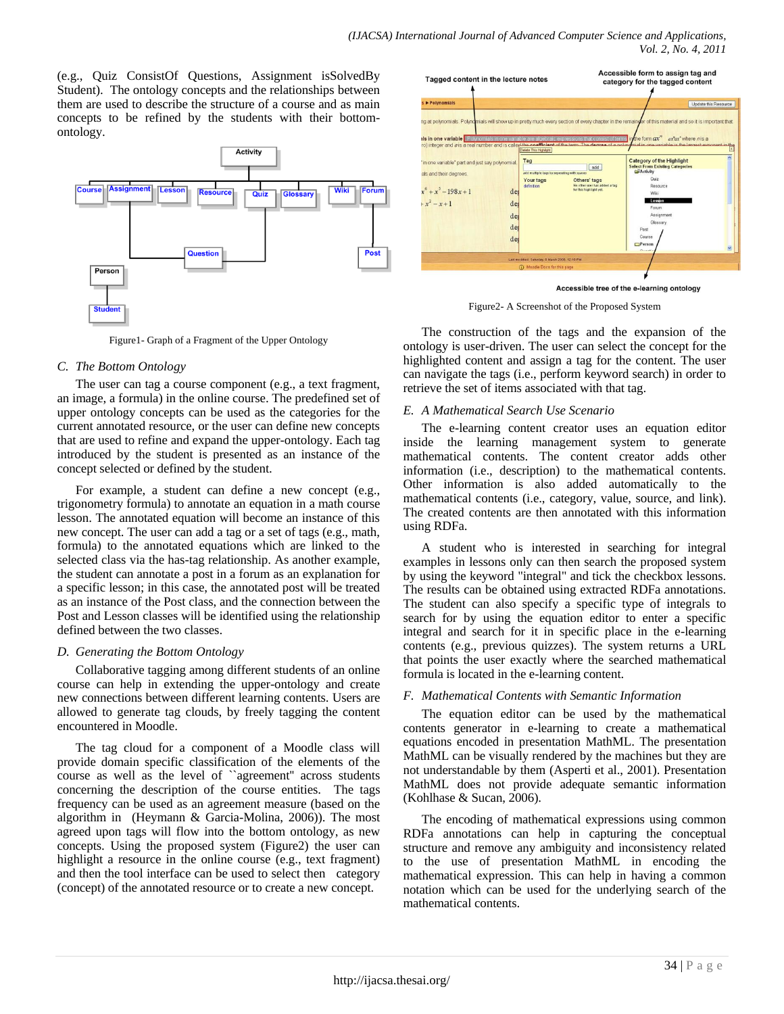(e.g., Quiz ConsistOf Questions, Assignment isSolvedBy Student). The ontology concepts and the relationships between them are used to describe the structure of a course and as main concepts to be refined by the students with their bottomontology.



Figure1- Graph of a Fragment of the Upper Ontology

#### *C. The Bottom Ontology*

The user can tag a course component (e.g., a text fragment, an image, a formula) in the online course. The predefined set of upper ontology concepts can be used as the categories for the current annotated resource, or the user can define new concepts that are used to refine and expand the upper-ontology. Each tag introduced by the student is presented as an instance of the concept selected or defined by the student.

For example, a student can define a new concept (e.g., trigonometry formula) to annotate an equation in a math course lesson. The annotated equation will become an instance of this new concept. The user can add a tag or a set of tags (e.g., math, formula) to the annotated equations which are linked to the selected class via the has-tag relationship. As another example, the student can annotate a post in a forum as an explanation for a specific lesson; in this case, the annotated post will be treated as an instance of the Post class, and the connection between the Post and Lesson classes will be identified using the relationship defined between the two classes.

# *D. Generating the Bottom Ontology*

Collaborative tagging among different students of an online course can help in extending the upper-ontology and create new connections between different learning contents. Users are allowed to generate tag clouds, by freely tagging the content encountered in Moodle.

The tag cloud for a component of a Moodle class will provide domain specific classification of the elements of the course as well as the level of ``agreement'' across students concerning the description of the course entities. The tags frequency can be used as an agreement measure (based on the algorithm in (Heymann & Garcia-Molina, 2006)). The most agreed upon tags will flow into the bottom ontology, as new concepts. Using the proposed system (Figure2) the user can highlight a resource in the online course (e.g., text fragment) and then the tool interface can be used to select then category (concept) of the annotated resource or to create a new concept.



Accessible tree of the e-learning ontology

Figure2- A Screenshot of the Proposed System

The construction of the tags and the expansion of the ontology is user-driven. The user can select the concept for the highlighted content and assign a tag for the content. The user can navigate the tags (i.e., perform keyword search) in order to retrieve the set of items associated with that tag.

#### *E. A Mathematical Search Use Scenario*

The e-learning content creator uses an equation editor inside the learning management system to generate mathematical contents. The content creator adds other information (i.e., description) to the mathematical contents. Other information is also added automatically to the mathematical contents (i.e., category, value, source, and link). The created contents are then annotated with this information using RDFa.

A student who is interested in searching for integral examples in lessons only can then search the proposed system by using the keyword "integral" and tick the checkbox lessons. The results can be obtained using extracted RDFa annotations. The student can also specify a specific type of integrals to search for by using the equation editor to enter a specific integral and search for it in specific place in the e-learning contents (e.g., previous quizzes). The system returns a URL that points the user exactly where the searched mathematical formula is located in the e-learning content.

# *F. Mathematical Contents with Semantic Information*

The equation editor can be used by the mathematical contents generator in e-learning to create a mathematical equations encoded in presentation MathML. The presentation MathML can be visually rendered by the machines but they are not understandable by them (Asperti et al., 2001). Presentation MathML does not provide adequate semantic information (Kohlhase & Sucan, 2006).

The encoding of mathematical expressions using common RDFa annotations can help in capturing the conceptual structure and remove any ambiguity and inconsistency related to the use of presentation MathML in encoding the mathematical expression. This can help in having a common notation which can be used for the underlying search of the mathematical contents.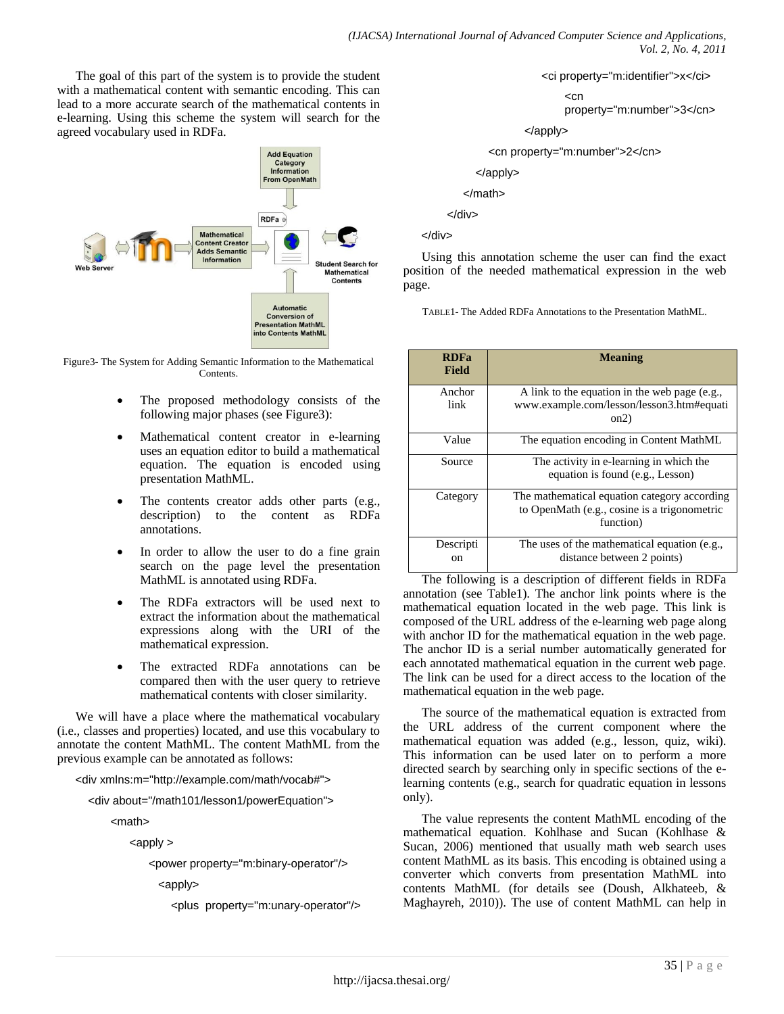<ci property="m:identifier">x</ci>

The goal of this part of the system is to provide the student with a mathematical content with semantic encoding. This can lead to a more accurate search of the mathematical contents in e-learning. Using this scheme the system will search for the agreed vocabulary used in RDFa.



Figure3- The System for Adding Semantic Information to the Mathematical Contents.

- The proposed methodology consists of the following major phases (see Figure3):
- Mathematical content creator in e-learning uses an equation editor to build a mathematical equation. The equation is encoded using presentation MathML.
- The contents creator adds other parts (e.g., description) to the content as RDFa annotations.
- In order to allow the user to do a fine grain search on the page level the presentation MathML is annotated using RDFa.
- The RDFa extractors will be used next to extract the information about the mathematical expressions along with the URI of the mathematical expression.
- The extracted RDFa annotations can be compared then with the user query to retrieve mathematical contents with closer similarity.

We will have a place where the mathematical vocabulary (i.e., classes and properties) located, and use this vocabulary to annotate the content MathML. The content MathML from the previous example can be annotated as follows:

<div xmlns:m="http://example.com/math/vocab#">

<div about="/math101/lesson1/powerEquation">

<math>

<apply >

<power property="m:binary-operator"/>

<apply>

<plus property="m:unary-operator"/>

<cn property="m:number">3</cn>

</apply>

<cn property="m:number">2</cn>

</apply>

 $<$ /math>

</div>

</div>

Using this annotation scheme the user can find the exact position of the needed mathematical expression in the web page.

TABLE1- The Added RDFa Annotations to the Presentation MathML.

| <b>RDFa</b><br><b>Field</b> | <b>Meaning</b>                                                                                            |
|-----------------------------|-----------------------------------------------------------------------------------------------------------|
| Anchor<br>link              | A link to the equation in the web page (e.g.,<br>www.example.com/lesson/lesson3.htm#equati<br>on2)        |
| Value                       | The equation encoding in Content MathML                                                                   |
| Source                      | The activity in e-learning in which the<br>equation is found (e.g., Lesson)                               |
| Category                    | The mathematical equation category according<br>to OpenMath (e.g., cosine is a trigonometric<br>function) |
| Descripti<br>on             | The uses of the mathematical equation (e.g.,<br>distance between 2 points)                                |

The following is a description of different fields in RDFa annotation (see Table1). The anchor link points where is the mathematical equation located in the web page. This link is composed of the URL address of the e-learning web page along with anchor ID for the mathematical equation in the web page. The anchor ID is a serial number automatically generated for each annotated mathematical equation in the current web page. The link can be used for a direct access to the location of the mathematical equation in the web page.

The source of the mathematical equation is extracted from the URL address of the current component where the mathematical equation was added (e.g., lesson, quiz, wiki). This information can be used later on to perform a more directed search by searching only in specific sections of the elearning contents (e.g., search for quadratic equation in lessons only).

The value represents the content MathML encoding of the mathematical equation. Kohlhase and Sucan (Kohlhase & Sucan, 2006) mentioned that usually math web search uses content MathML as its basis. This encoding is obtained using a converter which converts from presentation MathML into contents MathML (for details see (Doush, Alkhateeb, & Maghayreh, 2010)). The use of content MathML can help in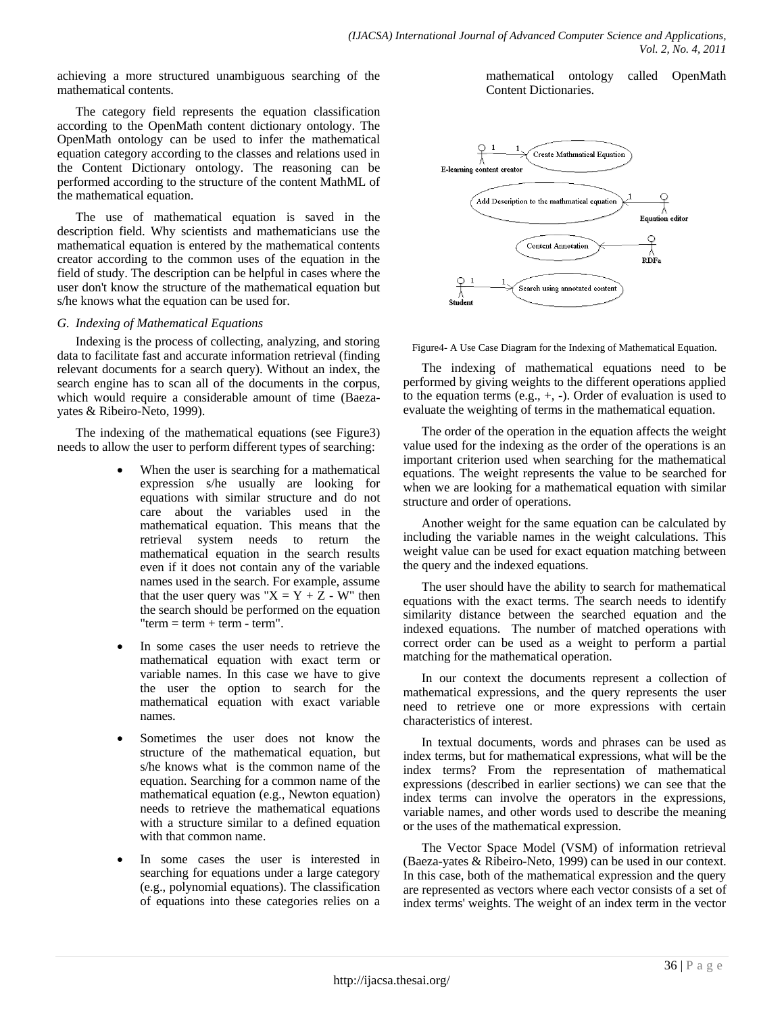achieving a more structured unambiguous searching of the mathematical contents.

The category field represents the equation classification according to the OpenMath content dictionary ontology. The OpenMath ontology can be used to infer the mathematical equation category according to the classes and relations used in the Content Dictionary ontology. The reasoning can be performed according to the structure of the content MathML of the mathematical equation.

The use of mathematical equation is saved in the description field. Why scientists and mathematicians use the mathematical equation is entered by the mathematical contents creator according to the common uses of the equation in the field of study. The description can be helpful in cases where the user don't know the structure of the mathematical equation but s/he knows what the equation can be used for.

#### *G. Indexing of Mathematical Equations*

Indexing is the process of collecting, analyzing, and storing data to facilitate fast and accurate information retrieval (finding relevant documents for a search query). Without an index, the search engine has to scan all of the documents in the corpus, which would require a considerable amount of time (Baezayates & Ribeiro-Neto, 1999).

The indexing of the mathematical equations (see Figure3) needs to allow the user to perform different types of searching:

- When the user is searching for a mathematical expression s/he usually are looking for equations with similar structure and do not care about the variables used in the mathematical equation. This means that the retrieval system needs to return the mathematical equation in the search results even if it does not contain any of the variable names used in the search. For example, assume that the user query was " $X = Y + Z - W$ " then the search should be performed on the equation " $term = term + term - term$ ".
- In some cases the user needs to retrieve the mathematical equation with exact term or variable names. In this case we have to give the user the option to search for the mathematical equation with exact variable names.
- Sometimes the user does not know the structure of the mathematical equation, but s/he knows what is the common name of the equation. Searching for a common name of the mathematical equation (e.g., Newton equation) needs to retrieve the mathematical equations with a structure similar to a defined equation with that common name.
- In some cases the user is interested in searching for equations under a large category (e.g., polynomial equations). The classification of equations into these categories relies on a

mathematical ontology called OpenMath Content Dictionaries.



Figure4- A Use Case Diagram for the Indexing of Mathematical Equation.

The indexing of mathematical equations need to be performed by giving weights to the different operations applied to the equation terms (e.g.,  $+$ ,  $-$ ). Order of evaluation is used to evaluate the weighting of terms in the mathematical equation.

The order of the operation in the equation affects the weight value used for the indexing as the order of the operations is an important criterion used when searching for the mathematical equations. The weight represents the value to be searched for when we are looking for a mathematical equation with similar structure and order of operations.

Another weight for the same equation can be calculated by including the variable names in the weight calculations. This weight value can be used for exact equation matching between the query and the indexed equations.

The user should have the ability to search for mathematical equations with the exact terms. The search needs to identify similarity distance between the searched equation and the indexed equations. The number of matched operations with correct order can be used as a weight to perform a partial matching for the mathematical operation.

In our context the documents represent a collection of mathematical expressions, and the query represents the user need to retrieve one or more expressions with certain characteristics of interest.

In textual documents, words and phrases can be used as index terms, but for mathematical expressions, what will be the index terms? From the representation of mathematical expressions (described in earlier sections) we can see that the index terms can involve the operators in the expressions, variable names, and other words used to describe the meaning or the uses of the mathematical expression.

The Vector Space Model (VSM) of information retrieval (Baeza-yates & Ribeiro-Neto, 1999) can be used in our context. In this case, both of the mathematical expression and the query are represented as vectors where each vector consists of a set of index terms' weights. The weight of an index term in the vector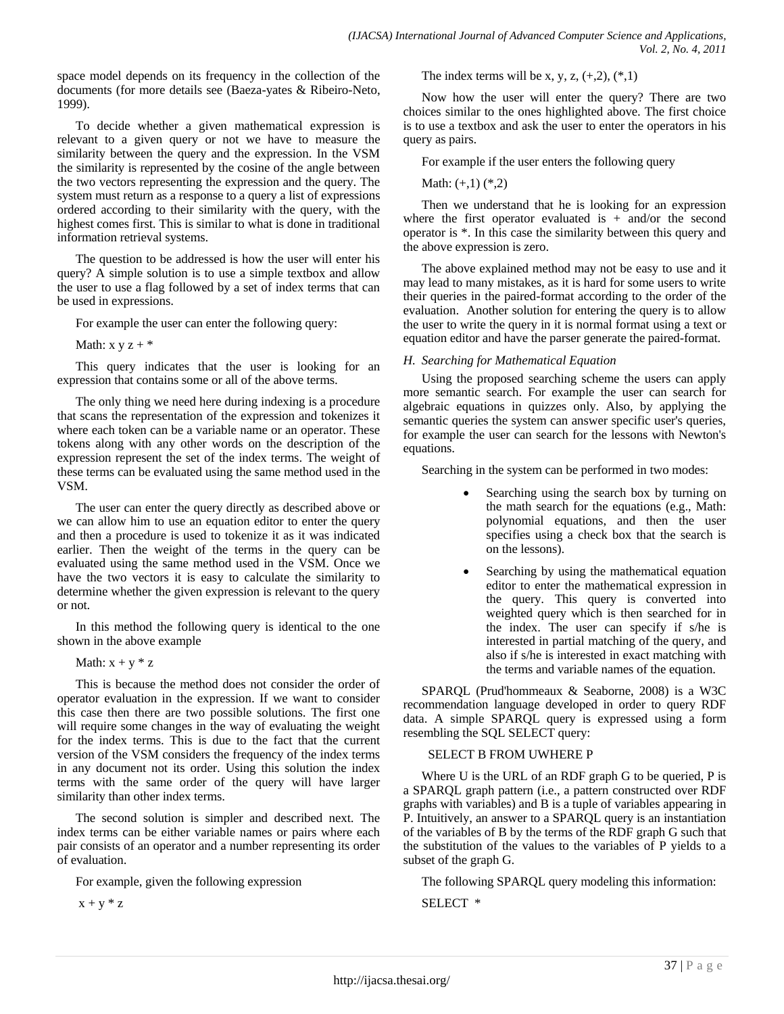space model depends on its frequency in the collection of the documents (for more details see (Baeza-yates & Ribeiro-Neto, 1999).

To decide whether a given mathematical expression is relevant to a given query or not we have to measure the similarity between the query and the expression. In the VSM the similarity is represented by the cosine of the angle between the two vectors representing the expression and the query. The system must return as a response to a query a list of expressions ordered according to their similarity with the query, with the highest comes first. This is similar to what is done in traditional information retrieval systems.

The question to be addressed is how the user will enter his query? A simple solution is to use a simple textbox and allow the user to use a flag followed by a set of index terms that can be used in expressions.

For example the user can enter the following query:

Math:  $x y z + *$ 

This query indicates that the user is looking for an expression that contains some or all of the above terms.

The only thing we need here during indexing is a procedure that scans the representation of the expression and tokenizes it where each token can be a variable name or an operator. These tokens along with any other words on the description of the expression represent the set of the index terms. The weight of these terms can be evaluated using the same method used in the VSM.

The user can enter the query directly as described above or we can allow him to use an equation editor to enter the query and then a procedure is used to tokenize it as it was indicated earlier. Then the weight of the terms in the query can be evaluated using the same method used in the VSM. Once we have the two vectors it is easy to calculate the similarity to determine whether the given expression is relevant to the query or not.

In this method the following query is identical to the one shown in the above example

Math:  $x + y * z$ 

This is because the method does not consider the order of operator evaluation in the expression. If we want to consider this case then there are two possible solutions. The first one will require some changes in the way of evaluating the weight for the index terms. This is due to the fact that the current version of the VSM considers the frequency of the index terms in any document not its order. Using this solution the index terms with the same order of the query will have larger similarity than other index terms.

The second solution is simpler and described next. The index terms can be either variable names or pairs where each pair consists of an operator and a number representing its order of evaluation.

For example, given the following expression

 $x + y * z$ 

The index terms will be x, y, z,  $(+,2)$ ,  $(*,1)$ 

Now how the user will enter the query? There are two choices similar to the ones highlighted above. The first choice is to use a textbox and ask the user to enter the operators in his query as pairs.

For example if the user enters the following query

Math:  $(+,1)$   $(*,2)$ 

Then we understand that he is looking for an expression where the first operator evaluated is  $+$  and/or the second operator is \*. In this case the similarity between this query and the above expression is zero.

The above explained method may not be easy to use and it may lead to many mistakes, as it is hard for some users to write their queries in the paired-format according to the order of the evaluation. Another solution for entering the query is to allow the user to write the query in it is normal format using a text or equation editor and have the parser generate the paired-format.

# *H. Searching for Mathematical Equation*

Using the proposed searching scheme the users can apply more semantic search. For example the user can search for algebraic equations in quizzes only. Also, by applying the semantic queries the system can answer specific user's queries, for example the user can search for the lessons with Newton's equations.

Searching in the system can be performed in two modes:

- Searching using the search box by turning on the math search for the equations (e.g., Math: polynomial equations, and then the user specifies using a check box that the search is on the lessons).
- Searching by using the mathematical equation editor to enter the mathematical expression in the query. This query is converted into weighted query which is then searched for in the index. The user can specify if s/he is interested in partial matching of the query, and also if s/he is interested in exact matching with the terms and variable names of the equation.

SPARQL (Prud'hommeaux & Seaborne, 2008) is a W3C recommendation language developed in order to query RDF data. A simple SPARQL query is expressed using a form resembling the SQL SELECT query:

# SELECT B FROM UWHERE P

Where U is the URL of an RDF graph G to be queried, P is a SPARQL graph pattern (i.e., a pattern constructed over RDF graphs with variables) and B is a tuple of variables appearing in P. Intuitively, an answer to a SPARQL query is an instantiation of the variables of B by the terms of the RDF graph G such that the substitution of the values to the variables of P yields to a subset of the graph G.

The following SPARQL query modeling this information:

SELECT \*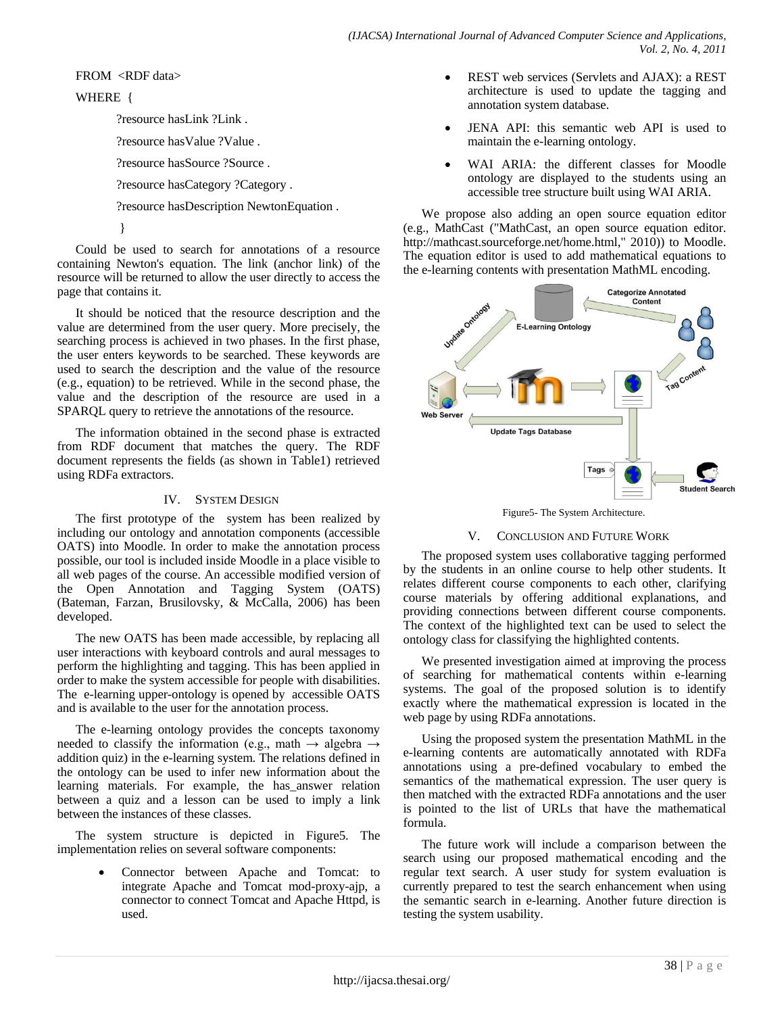FROM <RDF data>

# WHERE {

?resource hasLink ?Link .

?resource hasValue ?Value .

?resource hasSource ?Source .

?resource hasCategory ?Category .

?resource hasDescription NewtonEquation .

}

Could be used to search for annotations of a resource containing Newton's equation. The link (anchor link) of the resource will be returned to allow the user directly to access the page that contains it.

It should be noticed that the resource description and the value are determined from the user query. More precisely, the searching process is achieved in two phases. In the first phase, the user enters keywords to be searched. These keywords are used to search the description and the value of the resource (e.g., equation) to be retrieved. While in the second phase, the value and the description of the resource are used in a SPARQL query to retrieve the annotations of the resource.

The information obtained in the second phase is extracted from RDF document that matches the query. The RDF document represents the fields (as shown in Table1) retrieved using RDFa extractors.

# IV. SYSTEM DESIGN

The first prototype of the system has been realized by including our ontology and annotation components (accessible OATS) into Moodle. In order to make the annotation process possible, our tool is included inside Moodle in a place visible to all web pages of the course. An accessible modified version of the Open Annotation and Tagging System (OATS) (Bateman, Farzan, Brusilovsky, & McCalla, 2006) has been developed.

The new OATS has been made accessible, by replacing all user interactions with keyboard controls and aural messages to perform the highlighting and tagging. This has been applied in order to make the system accessible for people with disabilities. The e-learning upper-ontology is opened by accessible OATS and is available to the user for the annotation process.

The e-learning ontology provides the concepts taxonomy needed to classify the information (e.g., math  $\rightarrow$  algebra  $\rightarrow$ addition quiz) in the e-learning system. The relations defined in the ontology can be used to infer new information about the learning materials. For example, the has\_answer relation between a quiz and a lesson can be used to imply a link between the instances of these classes.

The system structure is depicted in Figure5. The implementation relies on several software components:

> Connector between Apache and Tomcat: to integrate Apache and Tomcat mod-proxy-ajp, a connector to connect Tomcat and Apache Httpd, is used.

- REST web services (Servlets and AJAX): a REST architecture is used to update the tagging and annotation system database.
- JENA API: this semantic web API is used to maintain the e-learning ontology.
- WAI ARIA: the different classes for Moodle ontology are displayed to the students using an accessible tree structure built using WAI ARIA.

We propose also adding an open source equation editor (e.g., MathCast ("MathCast, an open source equation editor. http://mathcast.sourceforge.net/home.html," 2010)) to Moodle. The equation editor is used to add mathematical equations to the e-learning contents with presentation MathML encoding.



Figure5- The System Architecture.

# V. CONCLUSION AND FUTURE WORK

The proposed system uses collaborative tagging performed by the students in an online course to help other students. It relates different course components to each other, clarifying course materials by offering additional explanations, and providing connections between different course components. The context of the highlighted text can be used to select the ontology class for classifying the highlighted contents.

We presented investigation aimed at improving the process of searching for mathematical contents within e-learning systems. The goal of the proposed solution is to identify exactly where the mathematical expression is located in the web page by using RDFa annotations.

Using the proposed system the presentation MathML in the e-learning contents are automatically annotated with RDFa annotations using a pre-defined vocabulary to embed the semantics of the mathematical expression. The user query is then matched with the extracted RDFa annotations and the user is pointed to the list of URLs that have the mathematical formula.

The future work will include a comparison between the search using our proposed mathematical encoding and the regular text search. A user study for system evaluation is currently prepared to test the search enhancement when using the semantic search in e-learning. Another future direction is testing the system usability.